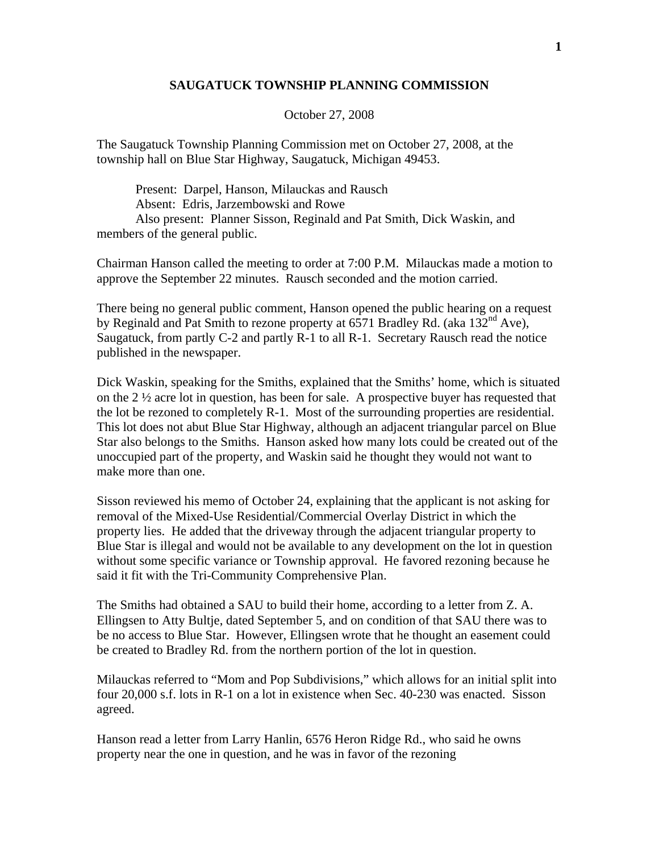## **SAUGATUCK TOWNSHIP PLANNING COMMISSION**

October 27, 2008

The Saugatuck Township Planning Commission met on October 27, 2008, at the township hall on Blue Star Highway, Saugatuck, Michigan 49453.

 Present: Darpel, Hanson, Milauckas and Rausch Absent: Edris, Jarzembowski and Rowe Also present: Planner Sisson, Reginald and Pat Smith, Dick Waskin, and members of the general public.

Chairman Hanson called the meeting to order at 7:00 P.M. Milauckas made a motion to approve the September 22 minutes. Rausch seconded and the motion carried.

There being no general public comment, Hanson opened the public hearing on a request by Reginald and Pat Smith to rezone property at  $6571$  Bradley Rd. (aka  $132<sup>nd</sup>$  Ave), Saugatuck, from partly C-2 and partly R-1 to all R-1. Secretary Rausch read the notice published in the newspaper.

Dick Waskin, speaking for the Smiths, explained that the Smiths' home, which is situated on the 2 ½ acre lot in question, has been for sale. A prospective buyer has requested that the lot be rezoned to completely R-1. Most of the surrounding properties are residential. This lot does not abut Blue Star Highway, although an adjacent triangular parcel on Blue Star also belongs to the Smiths. Hanson asked how many lots could be created out of the unoccupied part of the property, and Waskin said he thought they would not want to make more than one.

Sisson reviewed his memo of October 24, explaining that the applicant is not asking for removal of the Mixed-Use Residential/Commercial Overlay District in which the property lies. He added that the driveway through the adjacent triangular property to Blue Star is illegal and would not be available to any development on the lot in question without some specific variance or Township approval. He favored rezoning because he said it fit with the Tri-Community Comprehensive Plan.

The Smiths had obtained a SAU to build their home, according to a letter from Z. A. Ellingsen to Atty Bultje, dated September 5, and on condition of that SAU there was to be no access to Blue Star. However, Ellingsen wrote that he thought an easement could be created to Bradley Rd. from the northern portion of the lot in question.

Milauckas referred to "Mom and Pop Subdivisions," which allows for an initial split into four 20,000 s.f. lots in R-1 on a lot in existence when Sec. 40-230 was enacted. Sisson agreed.

Hanson read a letter from Larry Hanlin, 6576 Heron Ridge Rd., who said he owns property near the one in question, and he was in favor of the rezoning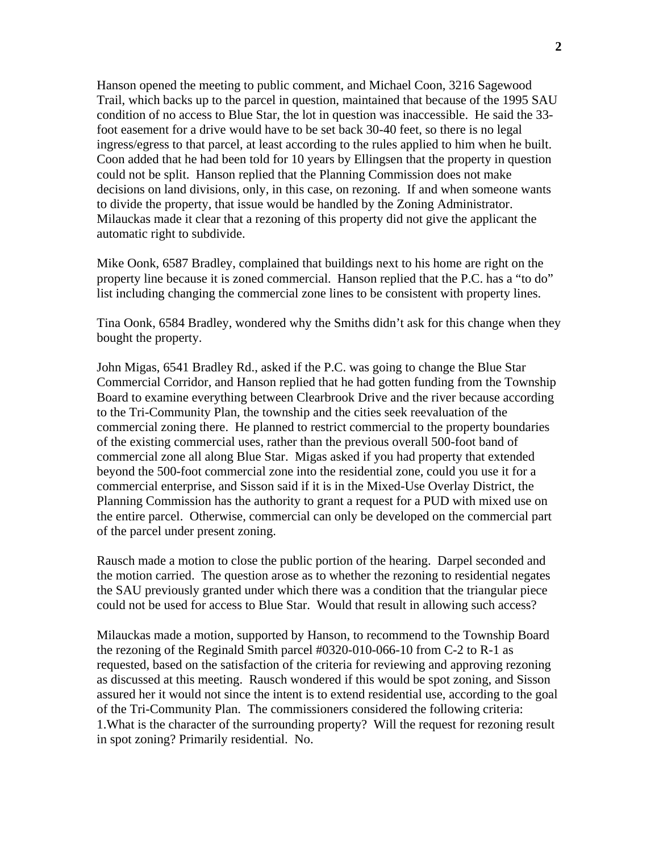Hanson opened the meeting to public comment, and Michael Coon, 3216 Sagewood Trail, which backs up to the parcel in question, maintained that because of the 1995 SAU condition of no access to Blue Star, the lot in question was inaccessible. He said the 33 foot easement for a drive would have to be set back 30-40 feet, so there is no legal ingress/egress to that parcel, at least according to the rules applied to him when he built. Coon added that he had been told for 10 years by Ellingsen that the property in question could not be split. Hanson replied that the Planning Commission does not make decisions on land divisions, only, in this case, on rezoning. If and when someone wants to divide the property, that issue would be handled by the Zoning Administrator. Milauckas made it clear that a rezoning of this property did not give the applicant the automatic right to subdivide.

Mike Oonk, 6587 Bradley, complained that buildings next to his home are right on the property line because it is zoned commercial. Hanson replied that the P.C. has a "to do" list including changing the commercial zone lines to be consistent with property lines.

Tina Oonk, 6584 Bradley, wondered why the Smiths didn't ask for this change when they bought the property.

John Migas, 6541 Bradley Rd., asked if the P.C. was going to change the Blue Star Commercial Corridor, and Hanson replied that he had gotten funding from the Township Board to examine everything between Clearbrook Drive and the river because according to the Tri-Community Plan, the township and the cities seek reevaluation of the commercial zoning there. He planned to restrict commercial to the property boundaries of the existing commercial uses, rather than the previous overall 500-foot band of commercial zone all along Blue Star. Migas asked if you had property that extended beyond the 500-foot commercial zone into the residential zone, could you use it for a commercial enterprise, and Sisson said if it is in the Mixed-Use Overlay District, the Planning Commission has the authority to grant a request for a PUD with mixed use on the entire parcel. Otherwise, commercial can only be developed on the commercial part of the parcel under present zoning.

Rausch made a motion to close the public portion of the hearing. Darpel seconded and the motion carried. The question arose as to whether the rezoning to residential negates the SAU previously granted under which there was a condition that the triangular piece could not be used for access to Blue Star. Would that result in allowing such access?

Milauckas made a motion, supported by Hanson, to recommend to the Township Board the rezoning of the Reginald Smith parcel #0320-010-066-10 from C-2 to R-1 as requested, based on the satisfaction of the criteria for reviewing and approving rezoning as discussed at this meeting. Rausch wondered if this would be spot zoning, and Sisson assured her it would not since the intent is to extend residential use, according to the goal of the Tri-Community Plan. The commissioners considered the following criteria: 1.What is the character of the surrounding property? Will the request for rezoning result in spot zoning? Primarily residential. No.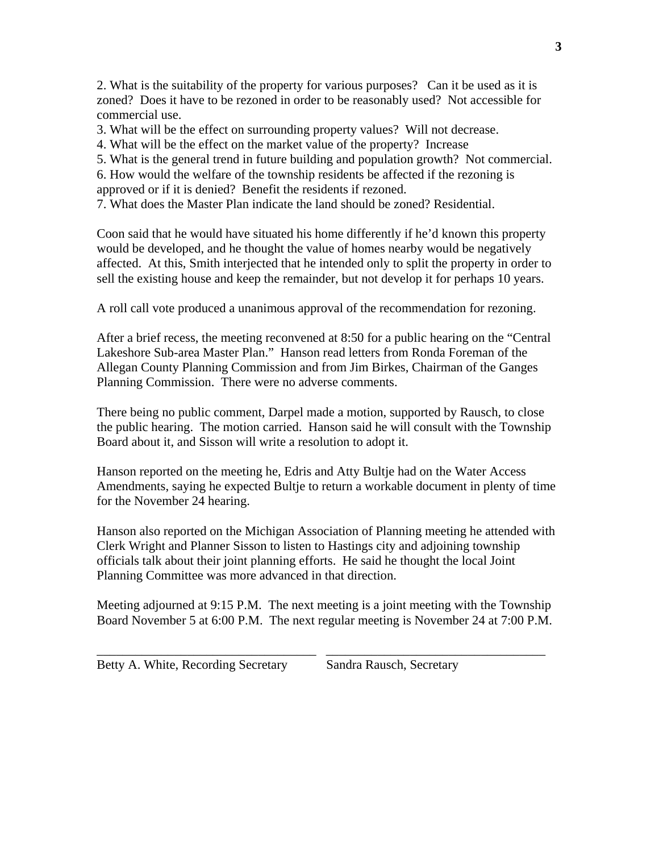2. What is the suitability of the property for various purposes? Can it be used as it is zoned? Does it have to be rezoned in order to be reasonably used? Not accessible for commercial use.

3. What will be the effect on surrounding property values? Will not decrease.

4. What will be the effect on the market value of the property? Increase

5. What is the general trend in future building and population growth? Not commercial.

6. How would the welfare of the township residents be affected if the rezoning is approved or if it is denied? Benefit the residents if rezoned.

7. What does the Master Plan indicate the land should be zoned? Residential.

Coon said that he would have situated his home differently if he'd known this property would be developed, and he thought the value of homes nearby would be negatively affected. At this, Smith interjected that he intended only to split the property in order to sell the existing house and keep the remainder, but not develop it for perhaps 10 years.

A roll call vote produced a unanimous approval of the recommendation for rezoning.

After a brief recess, the meeting reconvened at 8:50 for a public hearing on the "Central Lakeshore Sub-area Master Plan." Hanson read letters from Ronda Foreman of the Allegan County Planning Commission and from Jim Birkes, Chairman of the Ganges Planning Commission. There were no adverse comments.

There being no public comment, Darpel made a motion, supported by Rausch, to close the public hearing. The motion carried. Hanson said he will consult with the Township Board about it, and Sisson will write a resolution to adopt it.

Hanson reported on the meeting he, Edris and Atty Bultje had on the Water Access Amendments, saying he expected Bultje to return a workable document in plenty of time for the November 24 hearing.

Hanson also reported on the Michigan Association of Planning meeting he attended with Clerk Wright and Planner Sisson to listen to Hastings city and adjoining township officials talk about their joint planning efforts. He said he thought the local Joint Planning Committee was more advanced in that direction.

Meeting adjourned at 9:15 P.M. The next meeting is a joint meeting with the Township Board November 5 at 6:00 P.M. The next regular meeting is November 24 at 7:00 P.M.

\_\_\_\_\_\_\_\_\_\_\_\_\_\_\_\_\_\_\_\_\_\_\_\_\_\_\_\_\_\_\_\_\_\_ \_\_\_\_\_\_\_\_\_\_\_\_\_\_\_\_\_\_\_\_\_\_\_\_\_\_\_\_\_\_\_\_\_\_

Betty A. White, Recording Secretary Sandra Rausch, Secretary